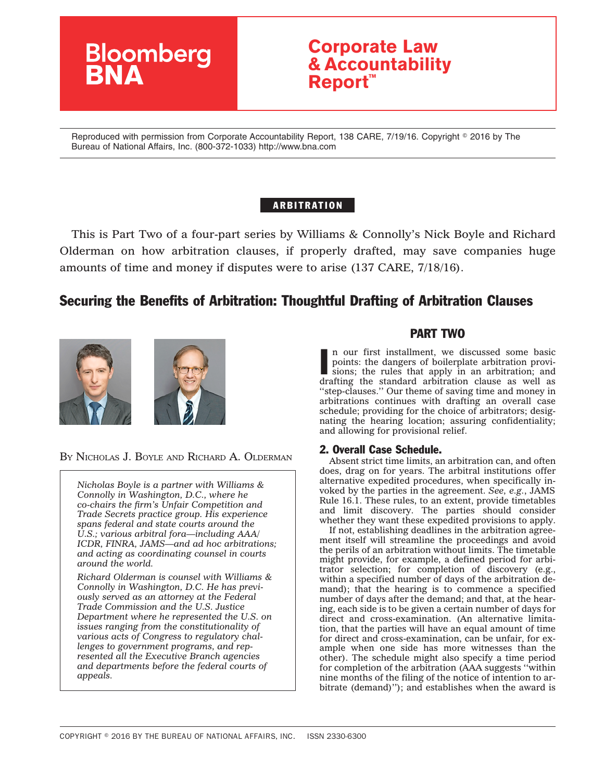

# **Corporate Law & Accountability Report™**

Reproduced with permission from Corporate Accountability Report, 138 CARE, 7/19/16. Copyright © 2016 by The Bureau of National Affairs, Inc. (800-372-1033) http://www.bna.com

## ARBITRATION

This is Part Two of a four-part series by Williams & Connolly's Nick Boyle and Richard Olderman on how arbitration clauses, if properly drafted, may save companies huge amounts of time and money if disputes were to arise (137 CARE, 7/18/16).

# Securing the Benefits of Arbitration: Thoughtful Drafting of Arbitration Clauses



BY NICHOLAS J. BOYLE AND RICHARD A. OLDERMAN

*Nicholas Boyle is a partner with Williams & Connolly in Washington, D.C., where he co-chairs the firm's Unfair Competition and Trade Secrets practice group. His experience spans federal and state courts around the U.S.; various arbitral fora—including AAA/ ICDR, FINRA, JAMS—and ad hoc arbitrations; and acting as coordinating counsel in courts around the world.*

*Richard Olderman is counsel with Williams & Connolly in Washington, D.C. He has previously served as an attorney at the Federal Trade Commission and the U.S. Justice Department where he represented the U.S. on issues ranging from the constitutionality of various acts of Congress to regulatory challenges to government programs, and represented all the Executive Branch agencies and departments before the federal courts of appeals.*

# PART TWO

In our first installment, we discussed some basic<br>points: the dangers of boilerplate arbitration provi-<br>sions; the rules that apply in an arbitration; and<br>drafting the standard arbitration clause as well as n our first installment, we discussed some basic points: the dangers of boilerplate arbitration provisions; the rules that apply in an arbitration; and ''step-clauses.'' Our theme of saving time and money in arbitrations continues with drafting an overall case schedule; providing for the choice of arbitrators; designating the hearing location; assuring confidentiality; and allowing for provisional relief.

### 2. Overall Case Schedule.

Absent strict time limits, an arbitration can, and often does, drag on for years. The arbitral institutions offer alternative expedited procedures, when specifically invoked by the parties in the agreement. *See, e.g.*, JAMS Rule 16.1. These rules, to an extent, provide timetables and limit discovery. The parties should consider whether they want these expedited provisions to apply.

If not, establishing deadlines in the arbitration agreement itself will streamline the proceedings and avoid the perils of an arbitration without limits. The timetable might provide, for example, a defined period for arbitrator selection; for completion of discovery (e.g., within a specified number of days of the arbitration demand); that the hearing is to commence a specified number of days after the demand; and that, at the hearing, each side is to be given a certain number of days for direct and cross-examination. (An alternative limitation, that the parties will have an equal amount of time for direct and cross-examination, can be unfair, for example when one side has more witnesses than the other). The schedule might also specify a time period for completion of the arbitration (AAA suggests ''within nine months of the filing of the notice of intention to arbitrate (demand)''); and establishes when the award is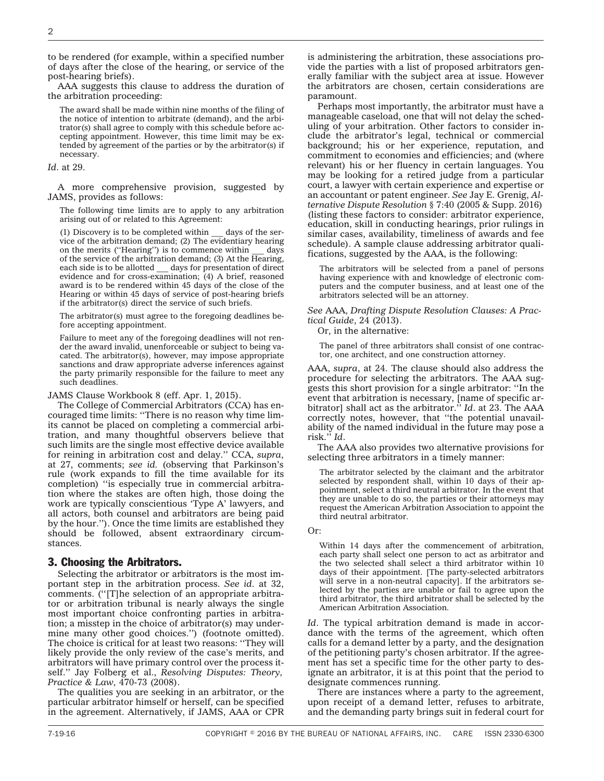2

to be rendered (for example, within a specified number of days after the close of the hearing, or service of the post-hearing briefs).

AAA suggests this clause to address the duration of the arbitration proceeding:

The award shall be made within nine months of the filing of the notice of intention to arbitrate (demand), and the arbitrator(s) shall agree to comply with this schedule before accepting appointment. However, this time limit may be extended by agreement of the parties or by the arbitrator(s) if necessary.

#### *Id*. at 29.

A more comprehensive provision, suggested by JAMS, provides as follows:

The following time limits are to apply to any arbitration arising out of or related to this Agreement:

(1) Discovery is to be completed within \_\_\_ days of the service of the arbitration demand; (2) The evidentiary hearing<br>on the merits ("Hearing") is to commence within days on the merits ("Hearing") is to commence within of the service of the arbitration demand; (3) At the Hearing, each side is to be allotted  $\_\_\_\_\_\$  days for presentation of direct days for presentation of direct evidence and for cross-examination; (4) A brief, reasoned award is to be rendered within 45 days of the close of the Hearing or within 45 days of service of post-hearing briefs if the arbitrator(s) direct the service of such briefs.

The arbitrator(s) must agree to the foregoing deadlines before accepting appointment.

Failure to meet any of the foregoing deadlines will not render the award invalid, unenforceable or subject to being vacated. The arbitrator(s), however, may impose appropriate sanctions and draw appropriate adverse inferences against the party primarily responsible for the failure to meet any such deadlines.

JAMS Clause Workbook 8 (eff. Apr. 1, 2015).

The College of Commercial Arbitrators (CCA) has encouraged time limits: ''There is no reason why time limits cannot be placed on completing a commercial arbitration, and many thoughtful observers believe that such limits are the single most effective device available for reining in arbitration cost and delay.'' CCA, *supra*, at 27, comments; *see id.* (observing that Parkinson's rule (work expands to fill the time available for its completion) ''is especially true in commercial arbitration where the stakes are often high, those doing the work are typically conscientious 'Type A' lawyers, and all actors, both counsel and arbitrators are being paid by the hour.''). Once the time limits are established they should be followed, absent extraordinary circumstances.

#### 3. Choosing the Arbitrators.

Selecting the arbitrator or arbitrators is the most important step in the arbitration process. *See id*. at 32, comments. (''[T]he selection of an appropriate arbitrator or arbitration tribunal is nearly always the single most important choice confronting parties in arbitration; a misstep in the choice of arbitrator(s) may undermine many other good choices.'') (footnote omitted). The choice is critical for at least two reasons: ''They will likely provide the only review of the case's merits, and arbitrators will have primary control over the process itself.'' Jay Folberg et al., *Resolving Disputes: Theory, Practice & Law,* 470-73 (2008).

The qualities you are seeking in an arbitrator, or the particular arbitrator himself or herself, can be specified in the agreement. Alternatively, if JAMS, AAA or CPR

is administering the arbitration, these associations provide the parties with a list of proposed arbitrators generally familiar with the subject area at issue. However the arbitrators are chosen, certain considerations are paramount.

Perhaps most importantly, the arbitrator must have a manageable caseload, one that will not delay the scheduling of your arbitration. Other factors to consider include the arbitrator's legal, technical or commercial background; his or her experience, reputation, and commitment to economies and efficiencies; and (where relevant) his or her fluency in certain languages. You may be looking for a retired judge from a particular court, a lawyer with certain experience and expertise or an accountant or patent engineer. *See* Jay E. Grenig, *Alternative Dispute Resolution* § 7:40 (2005 & Supp. 2016) (listing these factors to consider: arbitrator experience, education, skill in conducting hearings, prior rulings in similar cases, availability, timeliness of awards and fee schedule). A sample clause addressing arbitrator qualifications, suggested by the AAA, is the following:

The arbitrators will be selected from a panel of persons having experience with and knowledge of electronic computers and the computer business, and at least one of the arbitrators selected will be an attorney.

*See* AAA, *Drafting Dispute Resolution Clauses: A Practical Guide*, 24 (2013).

Or, in the alternative:

The panel of three arbitrators shall consist of one contractor, one architect, and one construction attorney.

AAA, *supra*, at 24. The clause should also address the procedure for selecting the arbitrators. The AAA suggests this short provision for a single arbitrator: ''In the event that arbitration is necessary, [name of specific arbitrator] shall act as the arbitrator.'' *Id*. at 23. The AAA correctly notes, however, that ''the potential unavailability of the named individual in the future may pose a risk.'' *Id*.

The AAA also provides two alternative provisions for selecting three arbitrators in a timely manner:

The arbitrator selected by the claimant and the arbitrator selected by respondent shall, within 10 days of their appointment, select a third neutral arbitrator. In the event that they are unable to do so, the parties or their attorneys may request the American Arbitration Association to appoint the third neutral arbitrator.

Or:

Within 14 days after the commencement of arbitration, each party shall select one person to act as arbitrator and the two selected shall select a third arbitrator within 10 days of their appointment. [The party-selected arbitrators will serve in a non-neutral capacity]. If the arbitrators selected by the parties are unable or fail to agree upon the third arbitrator, the third arbitrator shall be selected by the American Arbitration Association.

*Id*. The typical arbitration demand is made in accordance with the terms of the agreement, which often calls for a demand letter by a party, and the designation of the petitioning party's chosen arbitrator. If the agreement has set a specific time for the other party to designate an arbitrator, it is at this point that the period to designate commences running.

There are instances where a party to the agreement, upon receipt of a demand letter, refuses to arbitrate, and the demanding party brings suit in federal court for